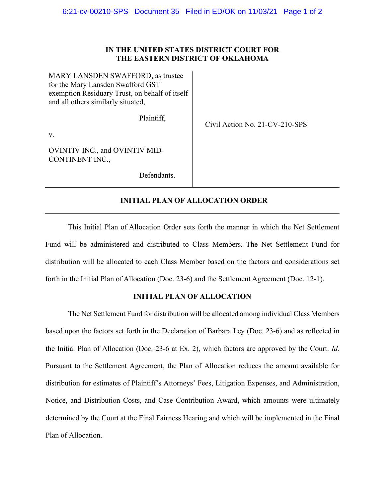## **IN THE UNITED STATES DISTRICT COURT FOR THE EASTERN DISTRICT OF OKLAHOMA**

MARY LANSDEN SWAFFORD, as trustee for the Mary Lansden Swafford GST exemption Residuary Trust, on behalf of itself and all others similarly situated,

Plaintiff,

v.

OVINTIV INC., and OVINTIV MID-CONTINENT INC.,

Defendants.

# **INITIAL PLAN OF ALLOCATION ORDER**

Civil Action No. 21-CV-210-SPS

This Initial Plan of Allocation Order sets forth the manner in which the Net Settlement Fund will be administered and distributed to Class Members. The Net Settlement Fund for distribution will be allocated to each Class Member based on the factors and considerations set forth in the Initial Plan of Allocation (Doc. 23-6) and the Settlement Agreement (Doc. 12-1).

## **INITIAL PLAN OF ALLOCATION**

The Net Settlement Fund for distribution will be allocated among individual Class Members based upon the factors set forth in the Declaration of Barbara Ley (Doc. 23-6) and as reflected in the Initial Plan of Allocation (Doc. 23-6 at Ex. 2), which factors are approved by the Court. *Id.* Pursuant to the Settlement Agreement, the Plan of Allocation reduces the amount available for distribution for estimates of Plaintiff's Attorneys' Fees, Litigation Expenses, and Administration, Notice, and Distribution Costs, and Case Contribution Award, which amounts were ultimately determined by the Court at the Final Fairness Hearing and which will be implemented in the Final Plan of Allocation.